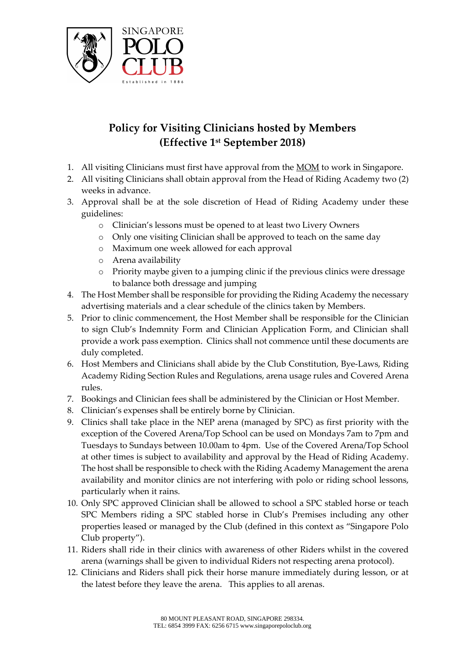

## **Policy for Visiting Clinicians hosted by Members (Effective 1st September 2018)**

- 1. All visiting Clinicians must first have approval from the MOM to work in Singapore.
- 2. All visiting Clinicians shall obtain approval from the Head of Riding Academy two (2) weeks in advance.
- 3. Approval shall be at the sole discretion of Head of Riding Academy under these guidelines:
	- o Clinician's lessons must be opened to at least two Livery Owners
	- o Only one visiting Clinician shall be approved to teach on the same day
	- o Maximum one week allowed for each approval
	- o Arena availability
	- $\circ$  Priority maybe given to a jumping clinic if the previous clinics were dressage to balance both dressage and jumping
- 4. The Host Member shall be responsible for providing the Riding Academy the necessary advertising materials and a clear schedule of the clinics taken by Members.
- 5. Prior to clinic commencement, the Host Member shall be responsible for the Clinician to sign Club's Indemnity Form and Clinician Application Form, and Clinician shall provide a work pass exemption. Clinics shall not commence until these documents are duly completed.
- 6. Host Members and Clinicians shall abide by the Club Constitution, Bye-Laws, Riding Academy Riding Section Rules and Regulations, arena usage rules and Covered Arena rules.
- 7. Bookings and Clinician fees shall be administered by the Clinician or Host Member.
- 8. Clinician's expenses shall be entirely borne by Clinician.
- 9. Clinics shall take place in the NEP arena (managed by SPC) as first priority with the exception of the Covered Arena/Top School can be used on Mondays 7am to 7pm and Tuesdays to Sundays between 10.00am to 4pm. Use of the Covered Arena/Top School at other times is subject to availability and approval by the Head of Riding Academy. The host shall be responsible to check with the Riding Academy Management the arena availability and monitor clinics are not interfering with polo or riding school lessons, particularly when it rains.
- 10. Only SPC approved Clinician shall be allowed to school a SPC stabled horse or teach SPC Members riding a SPC stabled horse in Club's Premises including any other properties leased or managed by the Club (defined in this context as "Singapore Polo Club property").
- 11. Riders shall ride in their clinics with awareness of other Riders whilst in the covered arena (warnings shall be given to individual Riders not respecting arena protocol).
- 12. Clinicians and Riders shall pick their horse manure immediately during lesson, or at the latest before they leave the arena. This applies to all arenas.